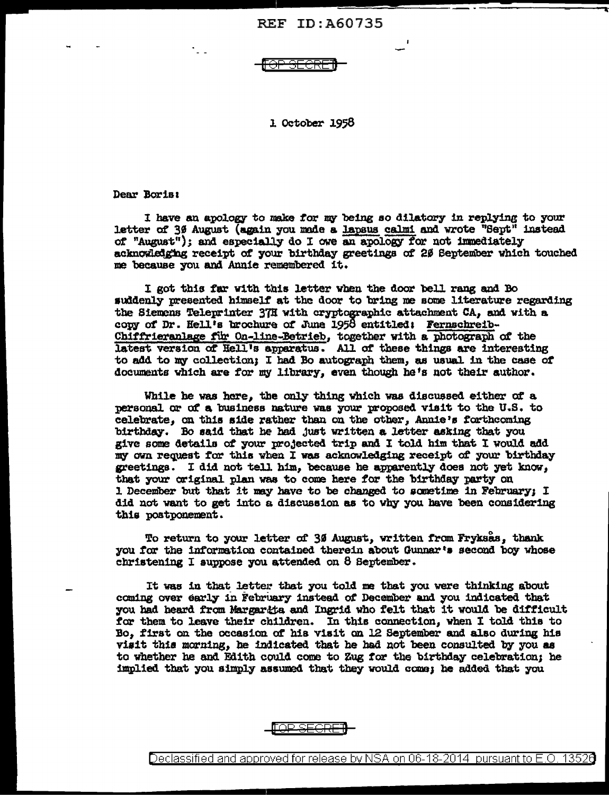## **REF ID: A60735**

⊖⊢ <del>SECRE</del>

1. October 1958

Dear Boris:

I have an apology to make for my being so dilatory in replying to your letter of 30 August (again you made a lapsus calmi and wrote "Sept" instead of "August"); and especially do I owe an apology for not immediately acknowledging receipt of your birthday greetings of 20 September which touched me because you and Annie remembered it.

I got this far with this letter when the door bell rang and Bo suddenly presented himself at the door to bring me some literature regarding the Siemens Teleprinter 37H with cryptographic attachment CA, and with a copy of Dr. Hell's brochure of June 1958 entitled: Fernschreib-Chiffrieranlage für On-line-Betrieb, together with a photograph of the latest version of Hell's apparatus. All of these things are interesting to add to my collection: I had Bo autograph them, as usual in the case of documents which are for my library, even though he's not their author.

While he was here, the only thing which was discussed either of a personal or of a business nature was your proposed visit to the U.S. to celebrate, on this side rather than on the other, Annie's forthcoming birthday. Bo said that he had just written a letter asking that you give some details of your projected trip and I told him that I would add my own request for this when I was acknowledging receipt of your birthday greetings. I did not tell him, because he apparently does not yet know, that your criginal plan was to come here for the birthday party on 1. December but that it may have to be changed to sometime in February; I did not want to get into a discussion as to why you have been considering this postponement.

To return to your letter of 30 August, written from Fryksas, thank you for the information contained therein about Gunnar's second boy whose christening I suppose you attended on 8 September.

It was in that letter that you told me that you were thinking about coming over early in February instead of December and you indicated that you had heard from Margarata and Ingrid who felt that it would be difficult for them to leave their children. In this connection, when I told this to Bo, first on the occasion of his visit on 12 September and also during his visit this morning, he indicated that he had not been consulted by you as to whether he and Edith could come to Zug for the birthday celebration; he implied that you simply assumed that they would come; he added that you



Declassified and approved for release by NSA on 06-18-2014 pursuant to E.O. 13520